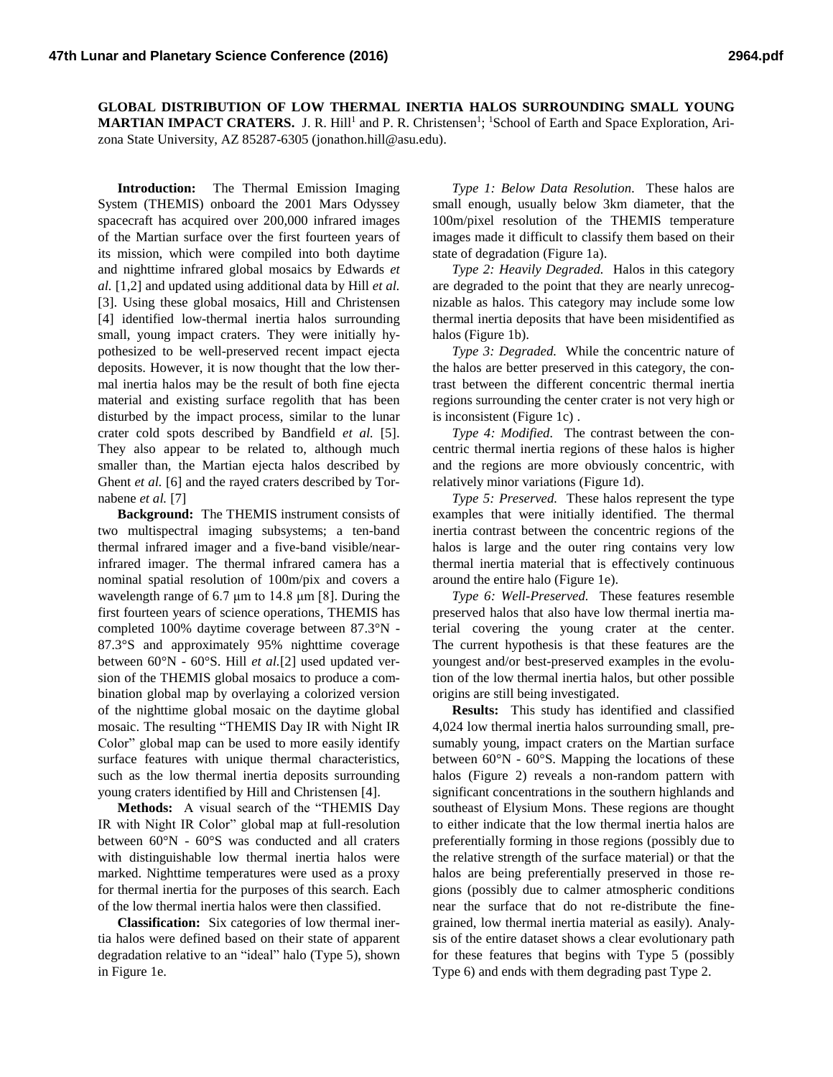**GLOBAL DISTRIBUTION OF LOW THERMAL INERTIA HALOS SURROUNDING SMALL YOUNG MARTIAN IMPACT CRATERS.** J. R. Hill<sup>1</sup> and P. R. Christensen<sup>1</sup>; <sup>1</sup>School of Earth and Space Exploration, Arizona State University, AZ 85287-6305 (jonathon.hill@asu.edu).

**Introduction:** The Thermal Emission Imaging System (THEMIS) onboard the 2001 Mars Odyssey spacecraft has acquired over 200,000 infrared images of the Martian surface over the first fourteen years of its mission, which were compiled into both daytime and nighttime infrared global mosaics by Edwards *et al.* [1,2] and updated using additional data by Hill *et al.* [3]. Using these global mosaics, Hill and Christensen [4] identified low-thermal inertia halos surrounding small, young impact craters. They were initially hypothesized to be well-preserved recent impact ejecta deposits. However, it is now thought that the low thermal inertia halos may be the result of both fine ejecta material and existing surface regolith that has been disturbed by the impact process, similar to the lunar crater cold spots described by Bandfield *et al.* [5]. They also appear to be related to, although much smaller than, the Martian ejecta halos described by Ghent *et al.* [6] and the rayed craters described by Tornabene *et al.* [7]

**Background:** The THEMIS instrument consists of two multispectral imaging subsystems; a ten-band thermal infrared imager and a five-band visible/nearinfrared imager. The thermal infrared camera has a nominal spatial resolution of 100m/pix and covers a wavelength range of 6.7 μm to 14.8 μm [8]. During the first fourteen years of science operations, THEMIS has completed 100% daytime coverage between 87.3°N - 87.3°S and approximately 95% nighttime coverage between 60°N - 60°S. Hill *et al.*[2] used updated version of the THEMIS global mosaics to produce a combination global map by overlaying a colorized version of the nighttime global mosaic on the daytime global mosaic. The resulting "THEMIS Day IR with Night IR Color" global map can be used to more easily identify surface features with unique thermal characteristics, such as the low thermal inertia deposits surrounding young craters identified by Hill and Christensen [4].

**Methods:** A visual search of the "THEMIS Day IR with Night IR Color" global map at full-resolution between 60°N - 60°S was conducted and all craters with distinguishable low thermal inertia halos were marked. Nighttime temperatures were used as a proxy for thermal inertia for the purposes of this search. Each of the low thermal inertia halos were then classified.

**Classification:** Six categories of low thermal inertia halos were defined based on their state of apparent degradation relative to an "ideal" halo (Type 5), shown in Figure 1e.

*Type 1: Below Data Resolution.* These halos are small enough, usually below 3km diameter, that the 100m/pixel resolution of the THEMIS temperature images made it difficult to classify them based on their state of degradation (Figure 1a).

*Type 2: Heavily Degraded.* Halos in this category are degraded to the point that they are nearly unrecognizable as halos. This category may include some low thermal inertia deposits that have been misidentified as halos (Figure 1b).

*Type 3: Degraded.* While the concentric nature of the halos are better preserved in this category, the contrast between the different concentric thermal inertia regions surrounding the center crater is not very high or is inconsistent (Figure 1c) .

*Type 4: Modified.* The contrast between the concentric thermal inertia regions of these halos is higher and the regions are more obviously concentric, with relatively minor variations (Figure 1d).

*Type 5: Preserved.* These halos represent the type examples that were initially identified. The thermal inertia contrast between the concentric regions of the halos is large and the outer ring contains very low thermal inertia material that is effectively continuous around the entire halo (Figure 1e).

*Type 6: Well-Preserved.* These features resemble preserved halos that also have low thermal inertia material covering the young crater at the center. The current hypothesis is that these features are the youngest and/or best-preserved examples in the evolution of the low thermal inertia halos, but other possible origins are still being investigated.

**Results:** This study has identified and classified 4,024 low thermal inertia halos surrounding small, presumably young, impact craters on the Martian surface between  $60^{\circ}$ N -  $60^{\circ}$ S. Mapping the locations of these halos (Figure 2) reveals a non-random pattern with significant concentrations in the southern highlands and southeast of Elysium Mons. These regions are thought to either indicate that the low thermal inertia halos are preferentially forming in those regions (possibly due to the relative strength of the surface material) or that the halos are being preferentially preserved in those regions (possibly due to calmer atmospheric conditions near the surface that do not re-distribute the finegrained, low thermal inertia material as easily). Analysis of the entire dataset shows a clear evolutionary path for these features that begins with Type 5 (possibly Type 6) and ends with them degrading past Type 2.